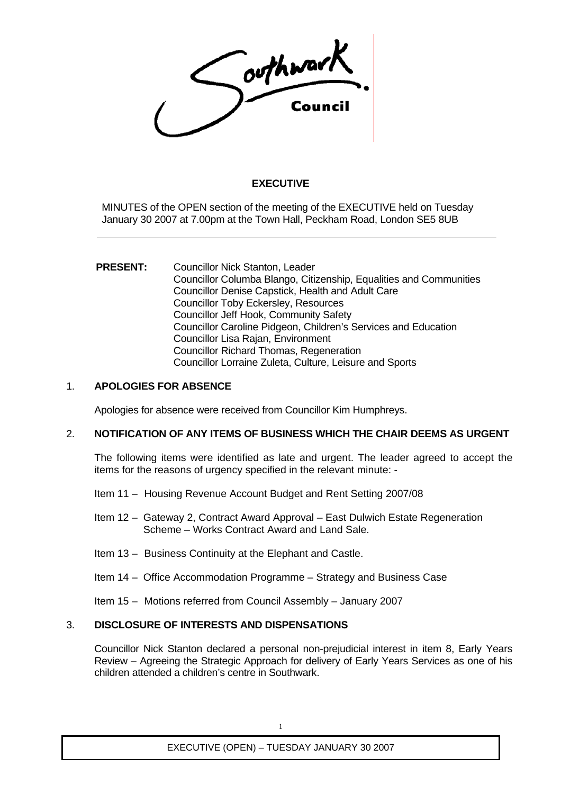

# **EXECUTIVE**

MINUTES of the OPEN section of the meeting of the EXECUTIVE held on Tuesday January 30 2007 at 7.00pm at the Town Hall, Peckham Road, London SE5 8UB

#### **PRESENT:** Councillor Nick Stanton, Leader Councillor Columba Blango, Citizenship, Equalities and Communities Councillor Denise Capstick, Health and Adult Care Councillor Toby Eckersley, Resources Councillor Jeff Hook, Community Safety Councillor Caroline Pidgeon, Children's Services and Education Councillor Lisa Rajan, Environment Councillor Richard Thomas, Regeneration Councillor Lorraine Zuleta, Culture, Leisure and Sports

## 1. **APOLOGIES FOR ABSENCE**

Apologies for absence were received from Councillor Kim Humphreys.

## 2. **NOTIFICATION OF ANY ITEMS OF BUSINESS WHICH THE CHAIR DEEMS AS URGENT**

The following items were identified as late and urgent. The leader agreed to accept the items for the reasons of urgency specified in the relevant minute: -

- Item 11 Housing Revenue Account Budget and Rent Setting 2007/08
- Item 12 Gateway 2, Contract Award Approval East Dulwich Estate Regeneration Scheme – Works Contract Award and Land Sale.
- Item 13 Business Continuity at the Elephant and Castle.
- Item 14 Office Accommodation Programme Strategy and Business Case

Item 15 – Motions referred from Council Assembly – January 2007

## 3. **DISCLOSURE OF INTERESTS AND DISPENSATIONS**

Councillor Nick Stanton declared a personal non-prejudicial interest in item 8, Early Years Review – Agreeing the Strategic Approach for delivery of Early Years Services as one of his children attended a children's centre in Southwark.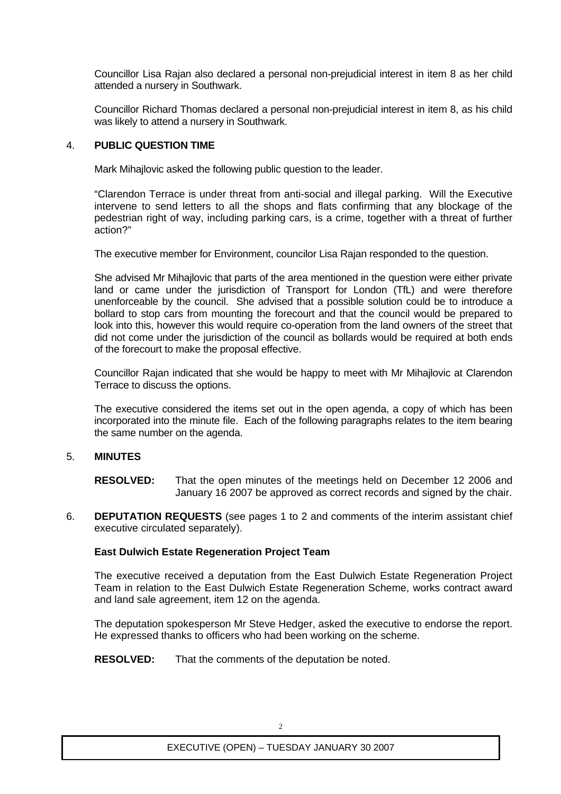Councillor Lisa Rajan also declared a personal non-prejudicial interest in item 8 as her child attended a nursery in Southwark.

Councillor Richard Thomas declared a personal non-prejudicial interest in item 8, as his child was likely to attend a nursery in Southwark.

#### 4. **PUBLIC QUESTION TIME**

Mark Mihajlovic asked the following public question to the leader.

"Clarendon Terrace is under threat from anti-social and illegal parking. Will the Executive intervene to send letters to all the shops and flats confirming that any blockage of the pedestrian right of way, including parking cars, is a crime, together with a threat of further action?"

The executive member for Environment, councilor Lisa Rajan responded to the question.

She advised Mr Mihajlovic that parts of the area mentioned in the question were either private land or came under the jurisdiction of Transport for London (TfL) and were therefore unenforceable by the council. She advised that a possible solution could be to introduce a bollard to stop cars from mounting the forecourt and that the council would be prepared to look into this, however this would require co-operation from the land owners of the street that did not come under the jurisdiction of the council as bollards would be required at both ends of the forecourt to make the proposal effective.

Councillor Rajan indicated that she would be happy to meet with Mr Mihajlovic at Clarendon Terrace to discuss the options.

The executive considered the items set out in the open agenda, a copy of which has been incorporated into the minute file. Each of the following paragraphs relates to the item bearing the same number on the agenda.

## 5. **MINUTES**

**RESOLVED:** That the open minutes of the meetings held on December 12 2006 and January 16 2007 be approved as correct records and signed by the chair.

6. **DEPUTATION REQUESTS** (see pages 1 to 2 and comments of the interim assistant chief executive circulated separately).

## **East Dulwich Estate Regeneration Project Team**

The executive received a deputation from the East Dulwich Estate Regeneration Project Team in relation to the East Dulwich Estate Regeneration Scheme, works contract award and land sale agreement, item 12 on the agenda.

The deputation spokesperson Mr Steve Hedger, asked the executive to endorse the report. He expressed thanks to officers who had been working on the scheme.

**RESOLVED:** That the comments of the deputation be noted.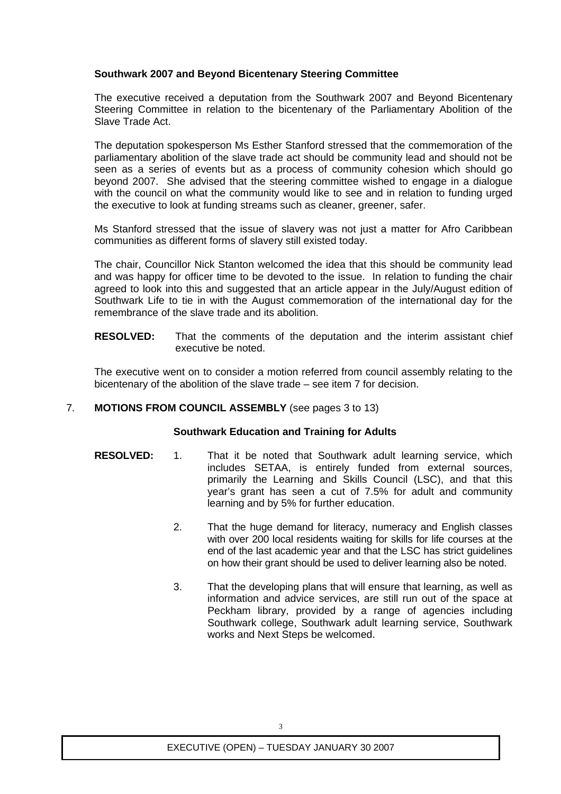## **Southwark 2007 and Beyond Bicentenary Steering Committee**

The executive received a deputation from the Southwark 2007 and Beyond Bicentenary Steering Committee in relation to the bicentenary of the Parliamentary Abolition of the Slave Trade Act.

The deputation spokesperson Ms Esther Stanford stressed that the commemoration of the parliamentary abolition of the slave trade act should be community lead and should not be seen as a series of events but as a process of community cohesion which should go beyond 2007. She advised that the steering committee wished to engage in a dialogue with the council on what the community would like to see and in relation to funding urged the executive to look at funding streams such as cleaner, greener, safer.

Ms Stanford stressed that the issue of slavery was not just a matter for Afro Caribbean communities as different forms of slavery still existed today.

The chair, Councillor Nick Stanton welcomed the idea that this should be community lead and was happy for officer time to be devoted to the issue. In relation to funding the chair agreed to look into this and suggested that an article appear in the July/August edition of Southwark Life to tie in with the August commemoration of the international day for the remembrance of the slave trade and its abolition.

**RESOLVED:** That the comments of the deputation and the interim assistant chief executive be noted.

The executive went on to consider a motion referred from council assembly relating to the bicentenary of the abolition of the slave trade – see item 7 for decision.

## 7. **MOTIONS FROM COUNCIL ASSEMBLY** (see pages 3 to 13)

## **Southwark Education and Training for Adults**

- **RESOLVED:** 1. That it be noted that Southwark adult learning service, which includes SETAA, is entirely funded from external sources, primarily the Learning and Skills Council (LSC), and that this year's grant has seen a cut of 7.5% for adult and community learning and by 5% for further education.
	- 2. That the huge demand for literacy, numeracy and English classes with over 200 local residents waiting for skills for life courses at the end of the last academic year and that the LSC has strict guidelines on how their grant should be used to deliver learning also be noted.
	- 3. That the developing plans that will ensure that learning, as well as information and advice services, are still run out of the space at Peckham library, provided by a range of agencies including Southwark college, Southwark adult learning service, Southwark works and Next Steps be welcomed.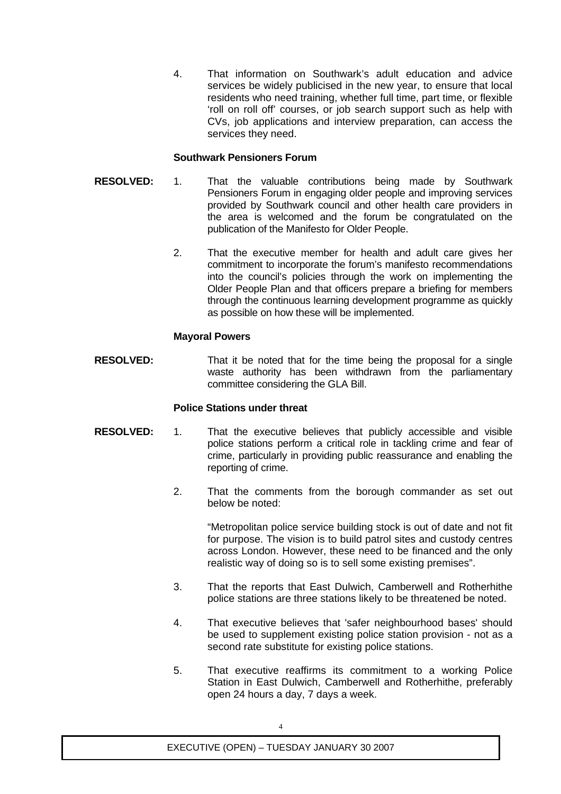4. That information on Southwark's adult education and advice services be widely publicised in the new year, to ensure that local residents who need training, whether full time, part time, or flexible 'roll on roll off' courses, or job search support such as help with CVs, job applications and interview preparation, can access the services they need.

## **Southwark Pensioners Forum**

- **RESOLVED:** 1. That the valuable contributions being made by Southwark Pensioners Forum in engaging older people and improving services provided by Southwark council and other health care providers in the area is welcomed and the forum be congratulated on the publication of the Manifesto for Older People.
	- 2. That the executive member for health and adult care gives her commitment to incorporate the forum's manifesto recommendations into the council's policies through the work on implementing the Older People Plan and that officers prepare a briefing for members through the continuous learning development programme as quickly as possible on how these will be implemented.

#### **Mayoral Powers**

**RESOLVED:** That it be noted that for the time being the proposal for a single waste authority has been withdrawn from the parliamentary committee considering the GLA Bill.

## **Police Stations under threat**

- **RESOLVED:** 1. That the executive believes that publicly accessible and visible police stations perform a critical role in tackling crime and fear of crime, particularly in providing public reassurance and enabling the reporting of crime.
	- 2. That the comments from the borough commander as set out below be noted:

"Metropolitan police service building stock is out of date and not fit for purpose. The vision is to build patrol sites and custody centres across London. However, these need to be financed and the only realistic way of doing so is to sell some existing premises".

- 3. That the reports that East Dulwich, Camberwell and Rotherhithe police stations are three stations likely to be threatened be noted.
- 4. That executive believes that 'safer neighbourhood bases' should be used to supplement existing police station provision - not as a second rate substitute for existing police stations.
- 5. That executive reaffirms its commitment to a working Police Station in East Dulwich, Camberwell and Rotherhithe, preferably open 24 hours a day, 7 days a week.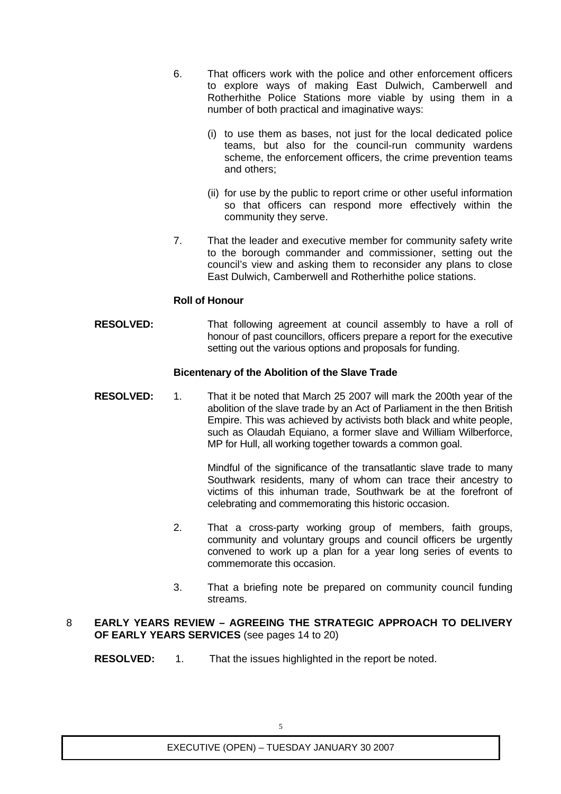- 6. That officers work with the police and other enforcement officers to explore ways of making East Dulwich, Camberwell and Rotherhithe Police Stations more viable by using them in a number of both practical and imaginative ways:
	- (i) to use them as bases, not just for the local dedicated police teams, but also for the council-run community wardens scheme, the enforcement officers, the crime prevention teams and others;
	- (ii) for use by the public to report crime or other useful information so that officers can respond more effectively within the community they serve.
- 7. That the leader and executive member for community safety write to the borough commander and commissioner, setting out the council's view and asking them to reconsider any plans to close East Dulwich, Camberwell and Rotherhithe police stations.

#### **Roll of Honour**

**RESOLVED:** That following agreement at council assembly to have a roll of honour of past councillors, officers prepare a report for the executive setting out the various options and proposals for funding.

#### **Bicentenary of the Abolition of the Slave Trade**

**RESOLVED:** 1. That it be noted that March 25 2007 will mark the 200th year of the abolition of the slave trade by an Act of Parliament in the then British Empire. This was achieved by activists both black and white people, such as Olaudah Equiano, a former slave and William Wilberforce, MP for Hull, all working together towards a common goal.

> Mindful of the significance of the transatlantic slave trade to many Southwark residents, many of whom can trace their ancestry to victims of this inhuman trade, Southwark be at the forefront of celebrating and commemorating this historic occasion.

- 2. That a cross-party working group of members, faith groups, community and voluntary groups and council officers be urgently convened to work up a plan for a year long series of events to commemorate this occasion.
- 3. That a briefing note be prepared on community council funding streams.

#### 8 **EARLY YEARS REVIEW – AGREEING THE STRATEGIC APPROACH TO DELIVERY OF EARLY YEARS SERVICES** (see pages 14 to 20)

**RESOLVED:** 1. That the issues highlighted in the report be noted.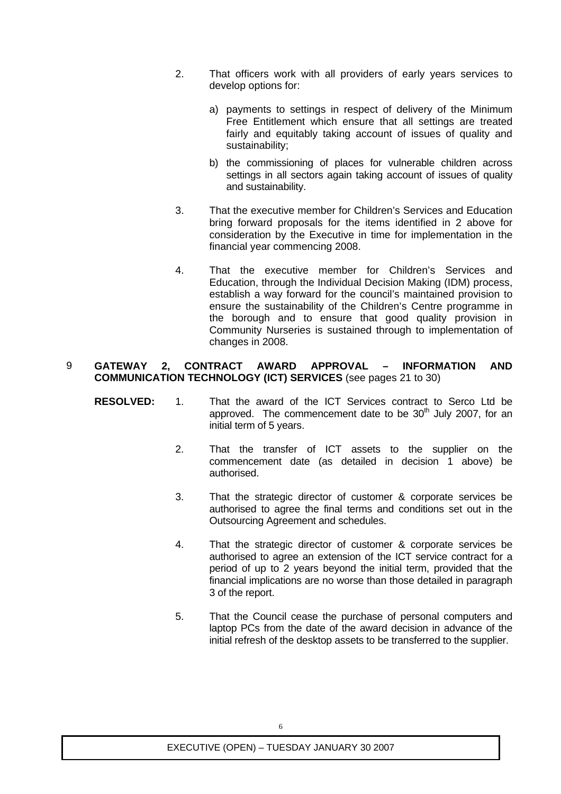- 2. That officers work with all providers of early years services to develop options for:
	- a) payments to settings in respect of delivery of the Minimum Free Entitlement which ensure that all settings are treated fairly and equitably taking account of issues of quality and sustainability;
	- b) the commissioning of places for vulnerable children across settings in all sectors again taking account of issues of quality and sustainability.
- 3. That the executive member for Children's Services and Education bring forward proposals for the items identified in 2 above for consideration by the Executive in time for implementation in the financial year commencing 2008.
- 4. That the executive member for Children's Services and Education, through the Individual Decision Making (IDM) process, establish a way forward for the council's maintained provision to ensure the sustainability of the Children's Centre programme in the borough and to ensure that good quality provision in Community Nurseries is sustained through to implementation of changes in 2008.

#### 9 **GATEWAY 2, CONTRACT AWARD APPROVAL – INFORMATION AND COMMUNICATION TECHNOLOGY (ICT) SERVICES** (see pages 21 to 30)

- **RESOLVED:** 1. That the award of the ICT Services contract to Serco Ltd be approved. The commencement date to be  $30<sup>th</sup>$  July 2007, for an initial term of 5 years.
	- 2. That the transfer of ICT assets to the supplier on the commencement date (as detailed in decision 1 above) be authorised.
	- 3. That the strategic director of customer & corporate services be authorised to agree the final terms and conditions set out in the Outsourcing Agreement and schedules.
	- 4. That the strategic director of customer & corporate services be authorised to agree an extension of the ICT service contract for a period of up to 2 years beyond the initial term, provided that the financial implications are no worse than those detailed in paragraph 3 of the report.
	- 5. That the Council cease the purchase of personal computers and laptop PCs from the date of the award decision in advance of the initial refresh of the desktop assets to be transferred to the supplier.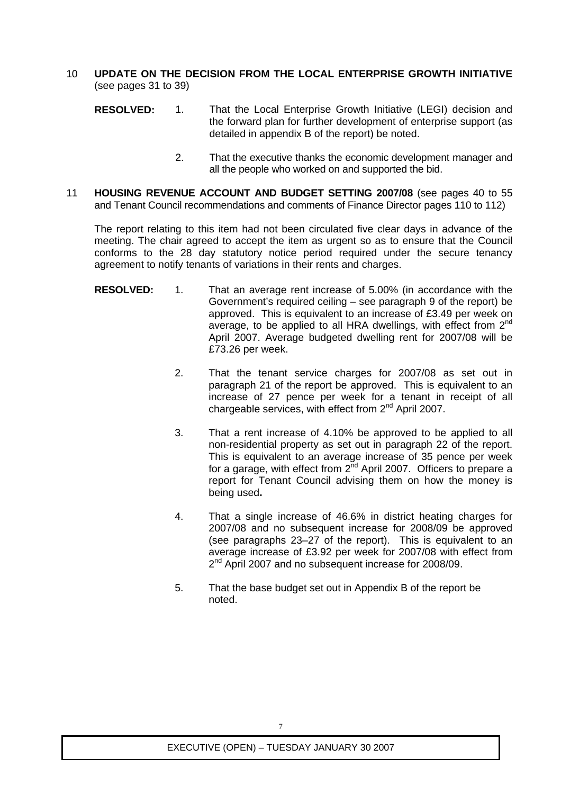- 10 **UPDATE ON THE DECISION FROM THE LOCAL ENTERPRISE GROWTH INITIATIVE** (see pages 31 to 39)
	- **RESOLVED:** 1. That the Local Enterprise Growth Initiative (LEGI) decision and the forward plan for further development of enterprise support (as detailed in appendix B of the report) be noted.
		- 2. That the executive thanks the economic development manager and all the people who worked on and supported the bid.
- 11 **HOUSING REVENUE ACCOUNT AND BUDGET SETTING 2007/08** (see pages 40 to 55 and Tenant Council recommendations and comments of Finance Director pages 110 to 112)

The report relating to this item had not been circulated five clear days in advance of the meeting. The chair agreed to accept the item as urgent so as to ensure that the Council conforms to the 28 day statutory notice period required under the secure tenancy agreement to notify tenants of variations in their rents and charges.

- **RESOLVED:** 1. That an average rent increase of 5.00% (in accordance with the Government's required ceiling – see paragraph 9 of the report) be approved. This is equivalent to an increase of £3.49 per week on average, to be applied to all HRA dwellings, with effect from  $2<sup>nd</sup>$ April 2007. Average budgeted dwelling rent for 2007/08 will be £73.26 per week.
	- 2. That the tenant service charges for 2007/08 as set out in paragraph 21 of the report be approved. This is equivalent to an increase of 27 pence per week for a tenant in receipt of all chargeable services, with effect from 2<sup>nd</sup> April 2007.
	- 3. That a rent increase of 4.10% be approved to be applied to all non-residential property as set out in paragraph 22 of the report. This is equivalent to an average increase of 35 pence per week for a garage, with effect from  $2^{\text{nd}}$  April 2007. Officers to prepare a report for Tenant Council advising them on how the money is being used**.**
	- 4. That a single increase of 46.6% in district heating charges for 2007/08 and no subsequent increase for 2008/09 be approved (see paragraphs 23–27 of the report). This is equivalent to an average increase of £3.92 per week for 2007/08 with effect from 2<sup>nd</sup> April 2007 and no subsequent increase for 2008/09.
	- 5. That the base budget set out in Appendix B of the report be noted.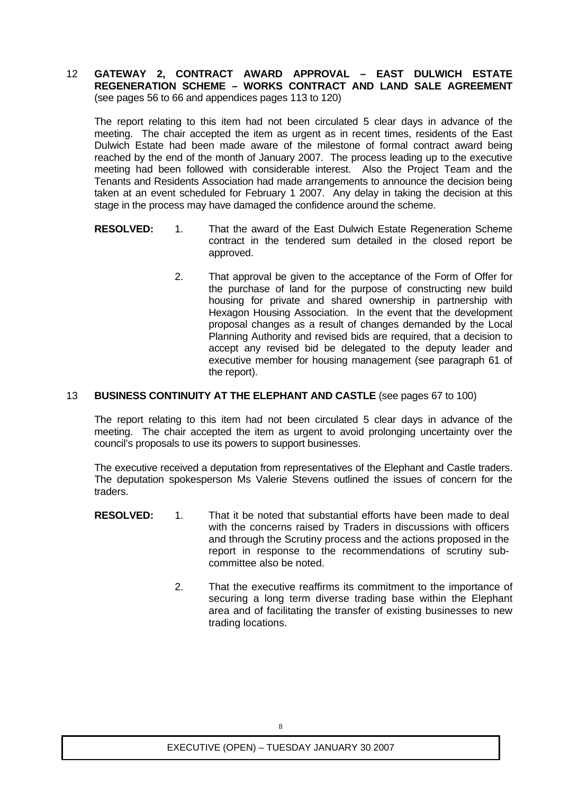12 **GATEWAY 2, CONTRACT AWARD APPROVAL – EAST DULWICH ESTATE REGENERATION SCHEME – WORKS CONTRACT AND LAND SALE AGREEMENT** (see pages 56 to 66 and appendices pages 113 to 120)

The report relating to this item had not been circulated 5 clear days in advance of the meeting. The chair accepted the item as urgent as in recent times, residents of the East Dulwich Estate had been made aware of the milestone of formal contract award being reached by the end of the month of January 2007. The process leading up to the executive meeting had been followed with considerable interest. Also the Project Team and the Tenants and Residents Association had made arrangements to announce the decision being taken at an event scheduled for February 1 2007. Any delay in taking the decision at this stage in the process may have damaged the confidence around the scheme.

- **RESOLVED:** 1. That the award of the East Dulwich Estate Regeneration Scheme contract in the tendered sum detailed in the closed report be approved.
	- 2. That approval be given to the acceptance of the Form of Offer for the purchase of land for the purpose of constructing new build housing for private and shared ownership in partnership with Hexagon Housing Association. In the event that the development proposal changes as a result of changes demanded by the Local Planning Authority and revised bids are required, that a decision to accept any revised bid be delegated to the deputy leader and executive member for housing management (see paragraph 61 of the report).

#### 13 **BUSINESS CONTINUITY AT THE ELEPHANT AND CASTLE** (see pages 67 to 100)

The report relating to this item had not been circulated 5 clear days in advance of the meeting. The chair accepted the item as urgent to avoid prolonging uncertainty over the council's proposals to use its powers to support businesses.

The executive received a deputation from representatives of the Elephant and Castle traders. The deputation spokesperson Ms Valerie Stevens outlined the issues of concern for the traders.

- **RESOLVED:** 1. That it be noted that substantial efforts have been made to deal with the concerns raised by Traders in discussions with officers and through the Scrutiny process and the actions proposed in the report in response to the recommendations of scrutiny subcommittee also be noted.
	- 2. That the executive reaffirms its commitment to the importance of securing a long term diverse trading base within the Elephant area and of facilitating the transfer of existing businesses to new trading locations.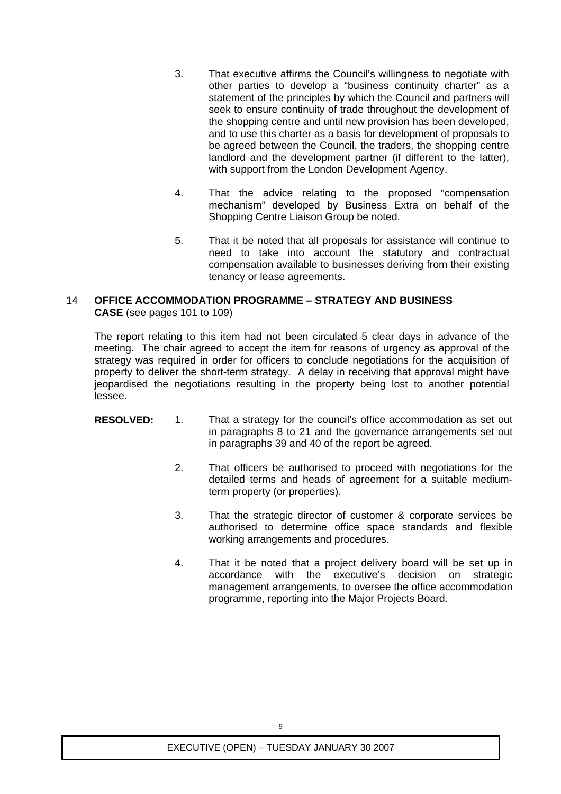- 3. That executive affirms the Council's willingness to negotiate with other parties to develop a "business continuity charter" as a statement of the principles by which the Council and partners will seek to ensure continuity of trade throughout the development of the shopping centre and until new provision has been developed, and to use this charter as a basis for development of proposals to be agreed between the Council, the traders, the shopping centre landlord and the development partner (if different to the latter), with support from the London Development Agency.
- 4. That the advice relating to the proposed "compensation mechanism" developed by Business Extra on behalf of the Shopping Centre Liaison Group be noted.
- 5. That it be noted that all proposals for assistance will continue to need to take into account the statutory and contractual compensation available to businesses deriving from their existing tenancy or lease agreements.

#### 14 **OFFICE ACCOMMODATION PROGRAMME – STRATEGY AND BUSINESS CASE** (see pages 101 to 109)

The report relating to this item had not been circulated 5 clear days in advance of the meeting. The chair agreed to accept the item for reasons of urgency as approval of the strategy was required in order for officers to conclude negotiations for the acquisition of property to deliver the short-term strategy. A delay in receiving that approval might have jeopardised the negotiations resulting in the property being lost to another potential lessee.

- **RESOLVED:** 1. That a strategy for the council's office accommodation as set out in paragraphs 8 to 21 and the governance arrangements set out in paragraphs 39 and 40 of the report be agreed.
	- 2. That officers be authorised to proceed with negotiations for the detailed terms and heads of agreement for a suitable mediumterm property (or properties).
	- 3. That the strategic director of customer & corporate services be authorised to determine office space standards and flexible working arrangements and procedures.
	- 4. That it be noted that a project delivery board will be set up in accordance with the executive's decision on strategic management arrangements, to oversee the office accommodation programme, reporting into the Major Projects Board.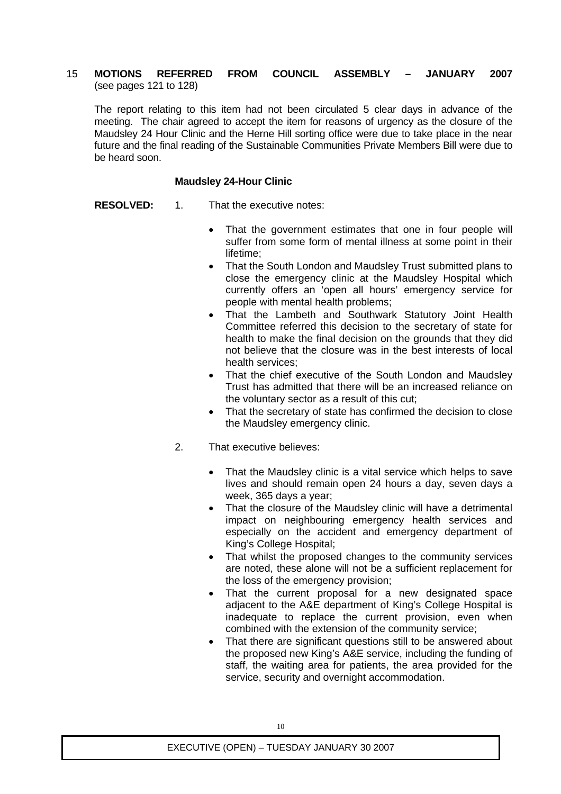#### 15 **MOTIONS REFERRED FROM COUNCIL ASSEMBLY – JANUARY 2007** (see pages 121 to 128)

The report relating to this item had not been circulated 5 clear days in advance of the meeting. The chair agreed to accept the item for reasons of urgency as the closure of the Maudsley 24 Hour Clinic and the Herne Hill sorting office were due to take place in the near future and the final reading of the Sustainable Communities Private Members Bill were due to be heard soon.

#### **Maudsley 24-Hour Clinic**

- **RESOLVED:** 1. That the executive notes:
	- That the government estimates that one in four people will suffer from some form of mental illness at some point in their lifetime;
	- That the South London and Maudsley Trust submitted plans to close the emergency clinic at the Maudsley Hospital which currently offers an 'open all hours' emergency service for people with mental health problems;
	- That the Lambeth and Southwark Statutory Joint Health Committee referred this decision to the secretary of state for health to make the final decision on the grounds that they did not believe that the closure was in the best interests of local health services;
	- That the chief executive of the South London and Maudsley Trust has admitted that there will be an increased reliance on the voluntary sector as a result of this cut;
	- That the secretary of state has confirmed the decision to close the Maudsley emergency clinic.
	- 2. That executive believes:
		- That the Maudsley clinic is a vital service which helps to save lives and should remain open 24 hours a day, seven days a week, 365 days a year;
		- That the closure of the Maudsley clinic will have a detrimental impact on neighbouring emergency health services and especially on the accident and emergency department of King's College Hospital;
		- That whilst the proposed changes to the community services are noted, these alone will not be a sufficient replacement for the loss of the emergency provision;
		- That the current proposal for a new designated space adjacent to the A&E department of King's College Hospital is inadequate to replace the current provision, even when combined with the extension of the community service;
		- That there are significant questions still to be answered about the proposed new King's A&E service, including the funding of staff, the waiting area for patients, the area provided for the service, security and overnight accommodation.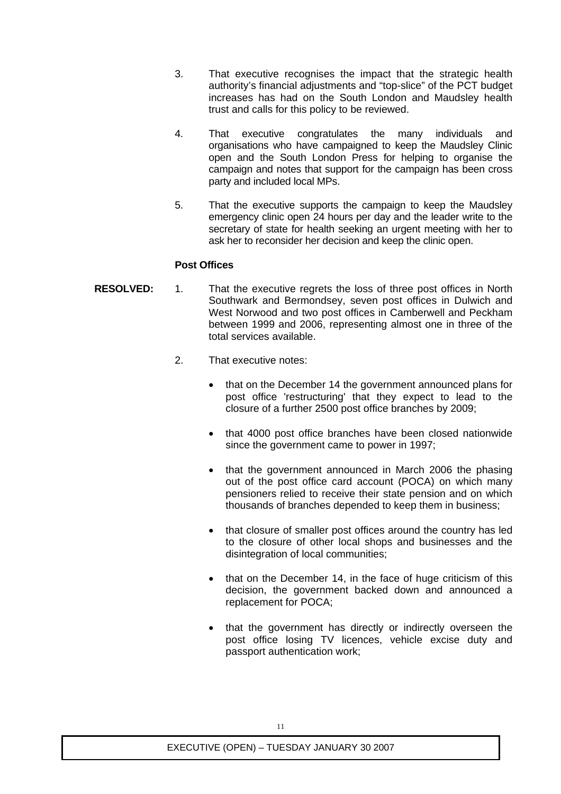- 3. That executive recognises the impact that the strategic health authority's financial adjustments and "top-slice" of the PCT budget increases has had on the South London and Maudsley health trust and calls for this policy to be reviewed.
- 4. That executive congratulates the many individuals and organisations who have campaigned to keep the Maudsley Clinic open and the South London Press for helping to organise the campaign and notes that support for the campaign has been cross party and included local MPs.
- 5. That the executive supports the campaign to keep the Maudsley emergency clinic open 24 hours per day and the leader write to the secretary of state for health seeking an urgent meeting with her to ask her to reconsider her decision and keep the clinic open.

## **Post Offices**

- **RESOLVED:** 1. That the executive regrets the loss of three post offices in North Southwark and Bermondsey, seven post offices in Dulwich and West Norwood and two post offices in Camberwell and Peckham between 1999 and 2006, representing almost one in three of the total services available.
	- 2. That executive notes:
		- that on the December 14 the government announced plans for post office 'restructuring' that they expect to lead to the closure of a further 2500 post office branches by 2009;
		- that 4000 post office branches have been closed nationwide since the government came to power in 1997;
		- that the government announced in March 2006 the phasing out of the post office card account (POCA) on which many pensioners relied to receive their state pension and on which thousands of branches depended to keep them in business;
		- that closure of smaller post offices around the country has led to the closure of other local shops and businesses and the disintegration of local communities;
		- that on the December 14, in the face of huge criticism of this decision, the government backed down and announced a replacement for POCA;
		- that the government has directly or indirectly overseen the post office losing TV licences, vehicle excise duty and passport authentication work;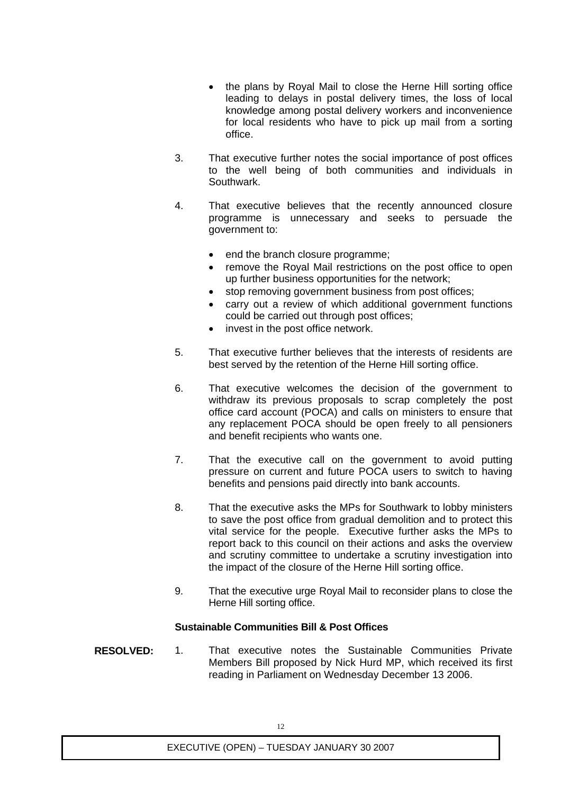- the plans by Royal Mail to close the Herne Hill sorting office leading to delays in postal delivery times, the loss of local knowledge among postal delivery workers and inconvenience for local residents who have to pick up mail from a sorting office.
- 3. That executive further notes the social importance of post offices to the well being of both communities and individuals in Southwark.
- 4. That executive believes that the recently announced closure programme is unnecessary and seeks to persuade the government to:
	- end the branch closure programme;
	- remove the Royal Mail restrictions on the post office to open up further business opportunities for the network;
	- stop removing government business from post offices;
	- carry out a review of which additional government functions could be carried out through post offices;
	- invest in the post office network.
- 5. That executive further believes that the interests of residents are best served by the retention of the Herne Hill sorting office.
- 6. That executive welcomes the decision of the government to withdraw its previous proposals to scrap completely the post office card account (POCA) and calls on ministers to ensure that any replacement POCA should be open freely to all pensioners and benefit recipients who wants one.
- 7. That the executive call on the government to avoid putting pressure on current and future POCA users to switch to having benefits and pensions paid directly into bank accounts.
- 8. That the executive asks the MPs for Southwark to lobby ministers to save the post office from gradual demolition and to protect this vital service for the people. Executive further asks the MPs to report back to this council on their actions and asks the overview and scrutiny committee to undertake a scrutiny investigation into the impact of the closure of the Herne Hill sorting office.
- 9. That the executive urge Royal Mail to reconsider plans to close the Herne Hill sorting office.

## **Sustainable Communities Bill & Post Offices**

**RESOLVED:** 1. That executive notes the Sustainable Communities Private Members Bill proposed by Nick Hurd MP, which received its first reading in Parliament on Wednesday December 13 2006.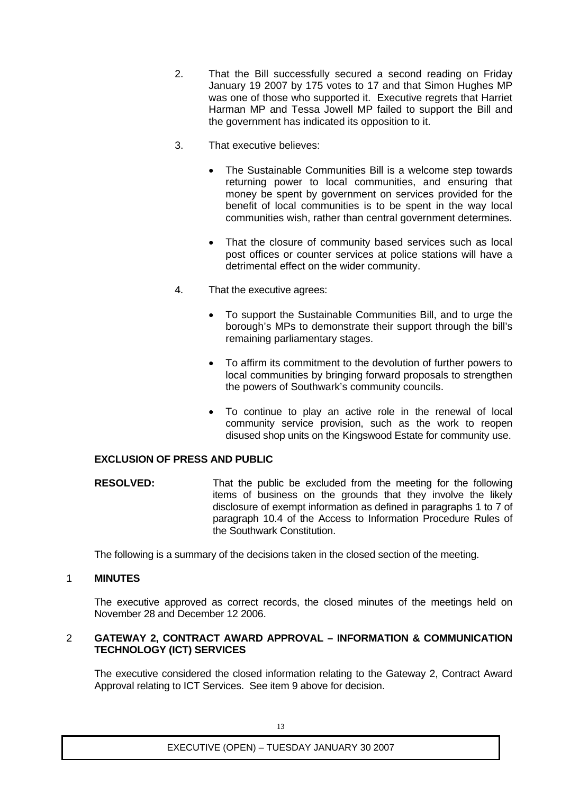- 2. That the Bill successfully secured a second reading on Friday January 19 2007 by 175 votes to 17 and that Simon Hughes MP was one of those who supported it. Executive regrets that Harriet Harman MP and Tessa Jowell MP failed to support the Bill and the government has indicated its opposition to it.
- 3. That executive believes:
	- The Sustainable Communities Bill is a welcome step towards returning power to local communities, and ensuring that money be spent by government on services provided for the benefit of local communities is to be spent in the way local communities wish, rather than central government determines.
	- That the closure of community based services such as local post offices or counter services at police stations will have a detrimental effect on the wider community.
- 4. That the executive agrees:
	- To support the Sustainable Communities Bill, and to urge the borough's MPs to demonstrate their support through the bill's remaining parliamentary stages.
	- To affirm its commitment to the devolution of further powers to local communities by bringing forward proposals to strengthen the powers of Southwark's community councils.
	- To continue to play an active role in the renewal of local community service provision, such as the work to reopen disused shop units on the Kingswood Estate for community use.

# **EXCLUSION OF PRESS AND PUBLIC**

**RESOLVED:** That the public be excluded from the meeting for the following items of business on the grounds that they involve the likely disclosure of exempt information as defined in paragraphs 1 to 7 of paragraph 10.4 of the Access to Information Procedure Rules of the Southwark Constitution.

The following is a summary of the decisions taken in the closed section of the meeting.

## 1 **MINUTES**

The executive approved as correct records, the closed minutes of the meetings held on November 28 and December 12 2006.

#### 2 **GATEWAY 2, CONTRACT AWARD APPROVAL – INFORMATION & COMMUNICATION TECHNOLOGY (ICT) SERVICES**

The executive considered the closed information relating to the Gateway 2, Contract Award Approval relating to ICT Services. See item 9 above for decision.